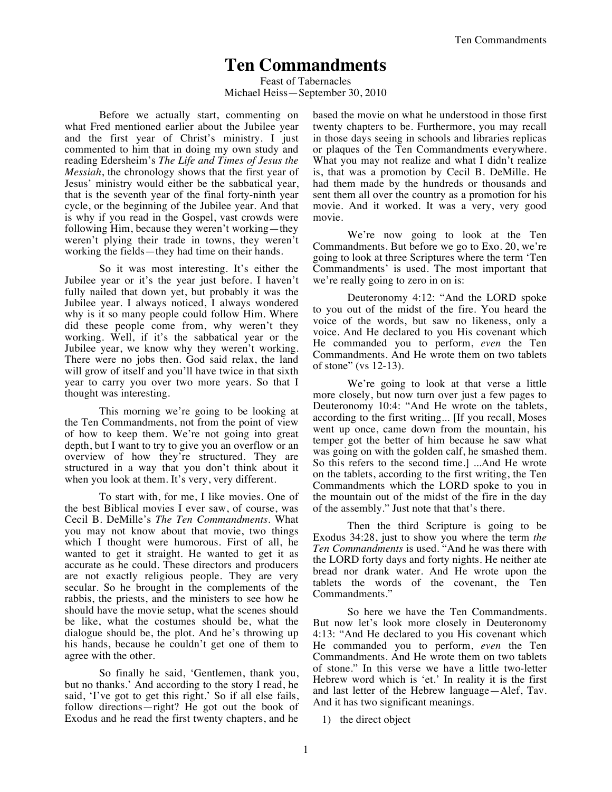## **Ten Commandments**

Feast of Tabernacles Michael Heiss—September 30, 2010

Before we actually start, commenting on what Fred mentioned earlier about the Jubilee year and the first year of Christ's ministry. I just commented to him that in doing my own study and reading Edersheim's *The Life and Times of Jesus the Messiah*, the chronology shows that the first year of Jesus' ministry would either be the sabbatical year, that is the seventh year of the final forty-ninth year cycle, or the beginning of the Jubilee year. And that is why if you read in the Gospel, vast crowds were following Him, because they weren't working—they weren't plying their trade in towns, they weren't working the fields—they had time on their hands.

So it was most interesting. It's either the Jubilee year or it's the year just before. I haven't fully nailed that down yet, but probably it was the Jubilee year. I always noticed, I always wondered why is it so many people could follow Him. Where did these people come from, why weren't they working. Well, if it's the sabbatical year or the Jubilee year, we know why they weren't working. There were no jobs then. God said relax, the land will grow of itself and you'll have twice in that sixth year to carry you over two more years. So that I thought was interesting.

This morning we're going to be looking at the Ten Commandments, not from the point of view of how to keep them. We're not going into great depth, but I want to try to give you an overflow or an overview of how they're structured. They are structured in a way that you don't think about it when you look at them. It's very, very different.

To start with, for me, I like movies. One of the best Biblical movies I ever saw, of course, was Cecil B. DeMille's *The Ten Commandments*. What you may not know about that movie, two things which I thought were humorous. First of all, he wanted to get it straight. He wanted to get it as accurate as he could. These directors and producers are not exactly religious people. They are very secular. So he brought in the complements of the rabbis, the priests, and the ministers to see how he should have the movie setup, what the scenes should be like, what the costumes should be, what the dialogue should be, the plot. And he's throwing up his hands, because he couldn't get one of them to agree with the other.

So finally he said, 'Gentlemen, thank you, but no thanks.' And according to the story I read, he said, 'I've got to get this right.' So if all else fails, follow directions—right? He got out the book of Exodus and he read the first twenty chapters, and he based the movie on what he understood in those first twenty chapters to be. Furthermore, you may recall in those days seeing in schools and libraries replicas or plaques of the Ten Commandments everywhere. What you may not realize and what I didn't realize is, that was a promotion by Cecil B. DeMille. He had them made by the hundreds or thousands and sent them all over the country as a promotion for his movie. And it worked. It was a very, very good movie.

We're now going to look at the Ten Commandments. But before we go to Exo. 20, we're going to look at three Scriptures where the term 'Ten Commandments' is used. The most important that we're really going to zero in on is:

Deuteronomy 4:12: "And the LORD spoke to you out of the midst of the fire. You heard the voice of the words, but saw no likeness, only a voice. And He declared to you His covenant which He commanded you to perform, *even* the Ten Commandments. And He wrote them on two tablets of stone" (vs 12-13).

We're going to look at that verse a little more closely, but now turn over just a few pages to Deuteronomy 10:4: "And He wrote on the tablets, according to the first writing... [If you recall, Moses went up once, came down from the mountain, his temper got the better of him because he saw what was going on with the golden calf, he smashed them. So this refers to the second time.] ...And He wrote on the tablets, according to the first writing, the Ten Commandments which the LORD spoke to you in the mountain out of the midst of the fire in the day of the assembly." Just note that that's there.

Then the third Scripture is going to be Exodus 34:28, just to show you where the term *the Ten Commandments* is used. "And he was there with the LORD forty days and forty nights. He neither ate bread nor drank water. And He wrote upon the tablets the words of the covenant, the Ten Commandments."

So here we have the Ten Commandments. But now let's look more closely in Deuteronomy 4:13: "And He declared to you His covenant which He commanded you to perform, *even* the Ten Commandments. And He wrote them on two tablets of stone." In this verse we have a little two-letter Hebrew word which is 'et.' In reality it is the first and last letter of the Hebrew language—Alef, Tav. And it has two significant meanings.

1) the direct object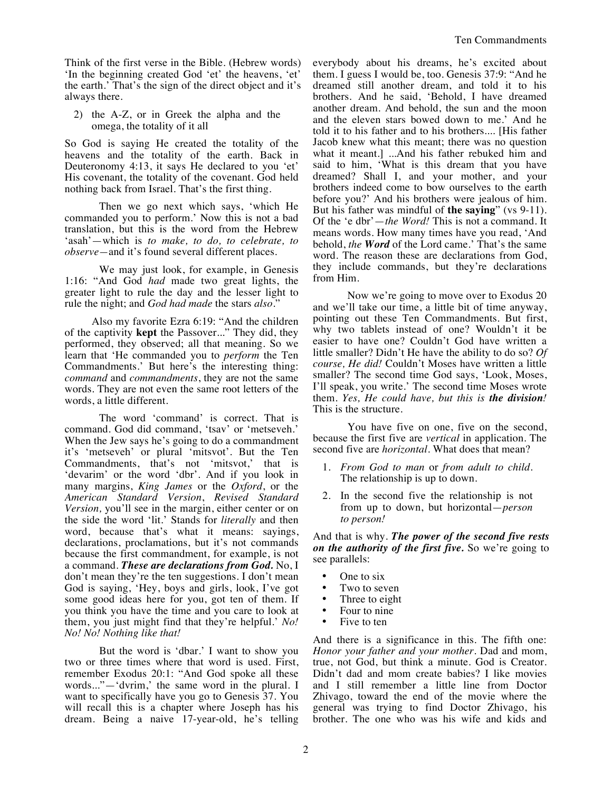Think of the first verse in the Bible. (Hebrew words) 'In the beginning created God 'et' the heavens, 'et' the earth.' That's the sign of the direct object and it's always there.

2) the A-Z, or in Greek the alpha and the omega, the totality of it all

So God is saying He created the totality of the heavens and the totality of the earth. Back in Deuteronomy 4:13, it says He declared to you 'et' His covenant, the totality of the covenant. God held nothing back from Israel. That's the first thing.

Then we go next which says, 'which He commanded you to perform.' Now this is not a bad translation, but this is the word from the Hebrew 'asah'—which is *to make, to do, to celebrate, to observe—*and it's found several different places.

We may just look, for example, in Genesis 1:16: "And God *had* made two great lights, the greater light to rule the day and the lesser light to rule the night; and *God had made* the stars *also*."

Also my favorite Ezra 6:19: "And the children of the captivity **kept** the Passover..." They did, they performed, they observed; all that meaning. So we learn that 'He commanded you to *perform* the Ten Commandments.' But here's the interesting thing: *command* and *commandments*, they are not the same words. They are not even the same root letters of the words, a little different.

The word 'command' is correct. That is command. God did command, 'tsav' or 'metseveh.' When the Jew says he's going to do a commandment it's 'metseveh' or plural 'mitsvot'. But the Ten Commandments, that's not 'mitsvot,' that is 'devarim' or the word 'dbr'. And if you look in many margins, *King James* or the *Oxford*, or the *American Standard Version*, *Revised Standard Version,* you'll see in the margin, either center or on the side the word 'lit.' Stands for *literally* and then word, because that's what it means: sayings, declarations, proclamations, but it's not commands because the first commandment, for example, is not a command. *These are declarations from God.* No, I don't mean they're the ten suggestions. I don't mean God is saying, 'Hey, boys and girls, look, I've got some good ideas here for you, got ten of them. If you think you have the time and you care to look at them, you just might find that they're helpful.' *No! No! No! Nothing like that!*

But the word is 'dbar.' I want to show you two or three times where that word is used. First, remember Exodus 20:1: "And God spoke all these words..."—'dvrim,' the same word in the plural. I want to specifically have you go to Genesis 37. You will recall this is a chapter where Joseph has his dream. Being a naive 17-year-old, he's telling everybody about his dreams, he's excited about them. I guess I would be, too. Genesis 37:9: "And he dreamed still another dream, and told it to his brothers. And he said, 'Behold, I have dreamed another dream. And behold, the sun and the moon and the eleven stars bowed down to me.' And he told it to his father and to his brothers.... [His father Jacob knew what this meant; there was no question what it meant.] ...And his father rebuked him and said to him, 'What is this dream that you have dreamed? Shall I, and your mother, and your brothers indeed come to bow ourselves to the earth before you?' And his brothers were jealous of him. But his father was mindful of **the saying**" (vs 9-11). Of the 'e dbr'—*the Word!* This is not a command. It means words. How many times have you read, 'And behold, *the Word* of the Lord came.' That's the same word. The reason these are declarations from God, they include commands, but they're declarations from Him.

Now we're going to move over to Exodus 20 and we'll take our time, a little bit of time anyway, pointing out these Ten Commandments. But first, why two tablets instead of one? Wouldn't it be easier to have one? Couldn't God have written a little smaller? Didn't He have the ability to do so? *Of course, He did!* Couldn't Moses have written a little smaller? The second time God says, 'Look, Moses, I'll speak, you write.' The second time Moses wrote them. *Yes, He could have, but this is the division!* This is the structure.

You have five on one, five on the second, because the first five are *vertical* in application. The second five are *horizontal*. What does that mean?

- 1. *From God to man* or *from adult to child*. The relationship is up to down.
- 2. In the second five the relationship is not from up to down, but horizontal—*person to person!*

And that is why. *The power of the second five rests on the authority of the first five.* So we're going to see parallels:

- One to six
- Two to seven
- Three to eight
- Four to nine
- Five to ten

And there is a significance in this. The fifth one: *Honor your father and your mother*. Dad and mom, true, not God, but think a minute. God is Creator. Didn't dad and mom create babies? I like movies and I still remember a little line from Doctor Zhivago, toward the end of the movie where the general was trying to find Doctor Zhivago, his brother. The one who was his wife and kids and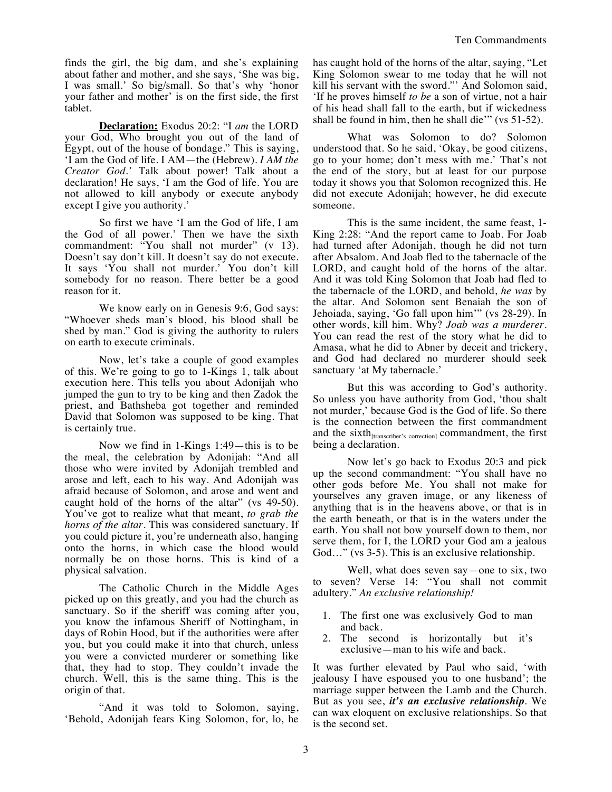finds the girl, the big dam, and she's explaining about father and mother, and she says, 'She was big, I was small.' So big/small. So that's why 'honor your father and mother' is on the first side, the first tablet.

**Declaration:** Exodus 20:2: "I *am* the LORD your God, Who brought you out of the land of Egypt, out of the house of bondage." This is saying, 'I am the God of life. I AM—the (Hebrew). *I AM the Creator God.'* Talk about power! Talk about a declaration! He says, 'I am the God of life. You are not allowed to kill anybody or execute anybody except I give you authority.'

So first we have 'I am the God of life, I am the God of all power.' Then we have the sixth commandment: "You shall not murder" (v 13). Doesn't say don't kill. It doesn't say do not execute. It says 'You shall not murder.' You don't kill somebody for no reason. There better be a good reason for it.

We know early on in Genesis 9:6, God says: "Whoever sheds man's blood, his blood shall be shed by man." God is giving the authority to rulers on earth to execute criminals.

Now, let's take a couple of good examples of this. We're going to go to 1-Kings 1, talk about execution here. This tells you about Adonijah who jumped the gun to try to be king and then Zadok the priest, and Bathsheba got together and reminded David that Solomon was supposed to be king. That is certainly true.

Now we find in 1-Kings 1:49—this is to be the meal, the celebration by Adonijah: "And all those who were invited by Adonijah trembled and arose and left, each to his way. And Adonijah was afraid because of Solomon, and arose and went and caught hold of the horns of the altar" (vs 49-50). You've got to realize what that meant, *to grab the horns of the altar*. This was considered sanctuary. If you could picture it, you're underneath also, hanging onto the horns, in which case the blood would normally be on those horns. This is kind of a physical salvation.

The Catholic Church in the Middle Ages picked up on this greatly, and you had the church as sanctuary. So if the sheriff was coming after you, you know the infamous Sheriff of Nottingham, in days of Robin Hood, but if the authorities were after you, but you could make it into that church, unless you were a convicted murderer or something like that, they had to stop. They couldn't invade the church. Well, this is the same thing. This is the origin of that.

"And it was told to Solomon, saying, 'Behold, Adonijah fears King Solomon, for, lo, he has caught hold of the horns of the altar, saying, "Let King Solomon swear to me today that he will not kill his servant with the sword."' And Solomon said, 'If he proves himself *to be* a son of virtue, not a hair of his head shall fall to the earth, but if wickedness shall be found in him, then he shall die'" (vs 51-52).

What was Solomon to do? Solomon understood that. So he said, 'Okay, be good citizens, go to your home; don't mess with me.' That's not the end of the story, but at least for our purpose today it shows you that Solomon recognized this. He did not execute Adonijah; however, he did execute someone.

This is the same incident, the same feast, 1- King 2:28: "And the report came to Joab. For Joab had turned after Adonijah, though he did not turn after Absalom. And Joab fled to the tabernacle of the LORD, and caught hold of the horns of the altar. And it was told King Solomon that Joab had fled to the tabernacle of the LORD, and behold, *he was* by the altar. And Solomon sent Benaiah the son of Jehoiada, saying, 'Go fall upon him'" (vs 28-29). In other words, kill him. Why? *Joab was a murderer*. You can read the rest of the story what he did to Amasa, what he did to Abner by deceit and trickery, and God had declared no murderer should seek sanctuary 'at My tabernacle.'

But this was according to God's authority. So unless you have authority from God, 'thou shalt not murder,' because God is the God of life. So there is the connection between the first commandment and the sixth<sub>[transcriber's correction]</sub> commandment, the first being a declaration.

Now let's go back to Exodus 20:3 and pick up the second commandment: "You shall have no other gods before Me. You shall not make for yourselves any graven image, or any likeness of anything that is in the heavens above, or that is in the earth beneath, or that is in the waters under the earth. You shall not bow yourself down to them, nor serve them, for I, the LORD your God am a jealous God..." (vs 3-5). This is an exclusive relationship.

Well, what does seven say—one to six, two to seven? Verse 14: "You shall not commit adultery." *An exclusive relationship!*

- 1. The first one was exclusively God to man and back.
- 2. The second is horizontally but it's exclusive—man to his wife and back.

It was further elevated by Paul who said, 'with jealousy I have espoused you to one husband'; the marriage supper between the Lamb and the Church. But as you see, *it's an exclusive relationship*. We can wax eloquent on exclusive relationships. So that is the second set.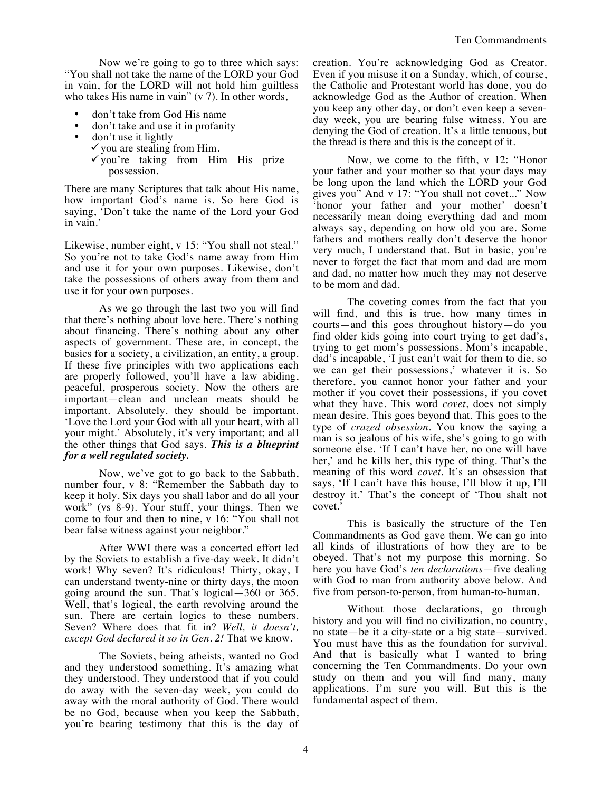Now we're going to go to three which says: "You shall not take the name of the LORD your God in vain, for the LORD will not hold him guiltless who takes His name in vain" (v 7). In other words,

- don't take from God His name
- don't take and use it in profanity
- don't use it lightly
	- $\checkmark$  you are stealing from Him.
	- $\checkmark$  you're taking from Him His prize possession.

There are many Scriptures that talk about His name, how important God's name is. So here God is saying, 'Don't take the name of the Lord your God in vain.'

Likewise, number eight, v 15: "You shall not steal." So you're not to take God's name away from Him and use it for your own purposes. Likewise, don't take the possessions of others away from them and use it for your own purposes.

As we go through the last two you will find that there's nothing about love here. There's nothing about financing. There's nothing about any other aspects of government. These are, in concept, the basics for a society, a civilization, an entity, a group. If these five principles with two applications each are properly followed, you'll have a law abiding, peaceful, prosperous society. Now the others are important—clean and unclean meats should be important. Absolutely. they should be important. 'Love the Lord your God with all your heart, with all your might.' Absolutely, it's very important; and all the other things that God says. *This is a blueprint for a well regulated society.*

Now, we've got to go back to the Sabbath, number four, v 8: "Remember the Sabbath day to keep it holy. Six days you shall labor and do all your work" (vs 8-9). Your stuff, your things. Then we come to four and then to nine, v 16: "You shall not bear false witness against your neighbor."

After WWI there was a concerted effort led by the Soviets to establish a five-day week. It didn't work! Why seven? It's ridiculous! Thirty, okay, I can understand twenty-nine or thirty days, the moon going around the sun. That's logical—360 or 365. Well, that's logical, the earth revolving around the sun. There are certain logics to these numbers. Seven? Where does that fit in? *Well, it doesn't, except God declared it so in Gen. 2!* That we know.

The Soviets, being atheists, wanted no God and they understood something. It's amazing what they understood. They understood that if you could do away with the seven-day week, you could do away with the moral authority of God. There would be no God, because when you keep the Sabbath, you're bearing testimony that this is the day of creation. You're acknowledging God as Creator. Even if you misuse it on a Sunday, which, of course, the Catholic and Protestant world has done, you do acknowledge God as the Author of creation. When you keep any other day, or don't even keep a sevenday week, you are bearing false witness. You are denying the God of creation. It's a little tenuous, but the thread is there and this is the concept of it.

Now, we come to the fifth, v 12: "Honor your father and your mother so that your days may be long upon the land which the LORD your God gives you" And v 17: "You shall not covet..." Now 'honor your father and your mother' doesn't necessarily mean doing everything dad and mom always say, depending on how old you are. Some fathers and mothers really don't deserve the honor very much, I understand that. But in basic, you're never to forget the fact that mom and dad are mom and dad, no matter how much they may not deserve to be mom and dad.

The coveting comes from the fact that you will find, and this is true, how many times in courts—and this goes throughout history—do you find older kids going into court trying to get dad's, trying to get mom's possessions. Mom's incapable, dad's incapable, 'I just can't wait for them to die, so we can get their possessions,' whatever it is. So therefore, you cannot honor your father and your mother if you covet their possessions, if you covet what they have. This word *covet*, does not simply mean desire. This goes beyond that. This goes to the type of *crazed obsession*. You know the saying a man is so jealous of his wife, she's going to go with someone else. 'If I can't have her, no one will have her,' and he kills her, this type of thing. That's the meaning of this word *covet*. It's an obsession that says, 'If I can't have this house, I'll blow it up, I'll destroy it.' That's the concept of 'Thou shalt not covet.'

This is basically the structure of the Ten Commandments as God gave them. We can go into all kinds of illustrations of how they are to be obeyed. That's not my purpose this morning. So here you have God's *ten declarations*—five dealing with God to man from authority above below. And five from person-to-person, from human-to-human.

Without those declarations, go through history and you will find no civilization, no country, no state—be it a city-state or a big state—survived. You must have this as the foundation for survival. And that is basically what I wanted to bring concerning the Ten Commandments. Do your own study on them and you will find many, many applications. I'm sure you will. But this is the fundamental aspect of them.